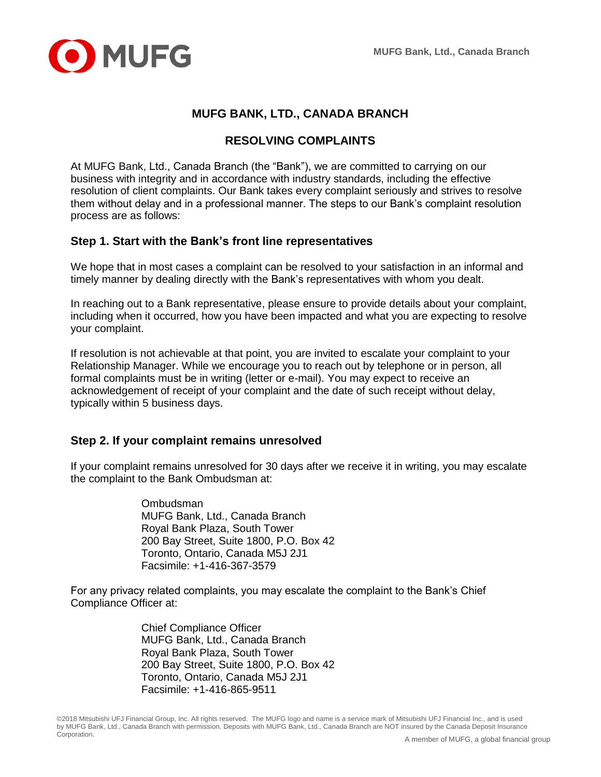

## **MUFG BANK, LTD., CANADA BRANCH**

## **RESOLVING COMPLAINTS**

At MUFG Bank, Ltd., Canada Branch (the "Bank"), we are committed to carrying on our business with integrity and in accordance with industry standards, including the effective resolution of client complaints. Our Bank takes every complaint seriously and strives to resolve them without delay and in a professional manner. The steps to our Bank's complaint resolution process are as follows:

### **Step 1. Start with the Bank's front line representatives**

We hope that in most cases a complaint can be resolved to your satisfaction in an informal and timely manner by dealing directly with the Bank's representatives with whom you dealt.

In reaching out to a Bank representative, please ensure to provide details about your complaint, including when it occurred, how you have been impacted and what you are expecting to resolve your complaint.

If resolution is not achievable at that point, you are invited to escalate your complaint to your Relationship Manager. While we encourage you to reach out by telephone or in person, all formal complaints must be in writing (letter or e-mail). You may expect to receive an acknowledgement of receipt of your complaint and the date of such receipt without delay, typically within 5 business days.

### **Step 2. If your complaint remains unresolved**

If your complaint remains unresolved for 30 days after we receive it in writing, you may escalate the complaint to the Bank Ombudsman at:

> Ombudsman MUFG Bank, Ltd., Canada Branch Royal Bank Plaza, South Tower 200 Bay Street, Suite 1800, P.O. Box 42 Toronto, Ontario, Canada M5J 2J1 Facsimile: +1-416-367-3579

For any privacy related complaints, you may escalate the complaint to the Bank's Chief Compliance Officer at:

> Chief Compliance Officer MUFG Bank, Ltd., Canada Branch Royal Bank Plaza, South Tower 200 Bay Street, Suite 1800, P.O. Box 42 Toronto, Ontario, Canada M5J 2J1 Facsimile: +1-416-865-9511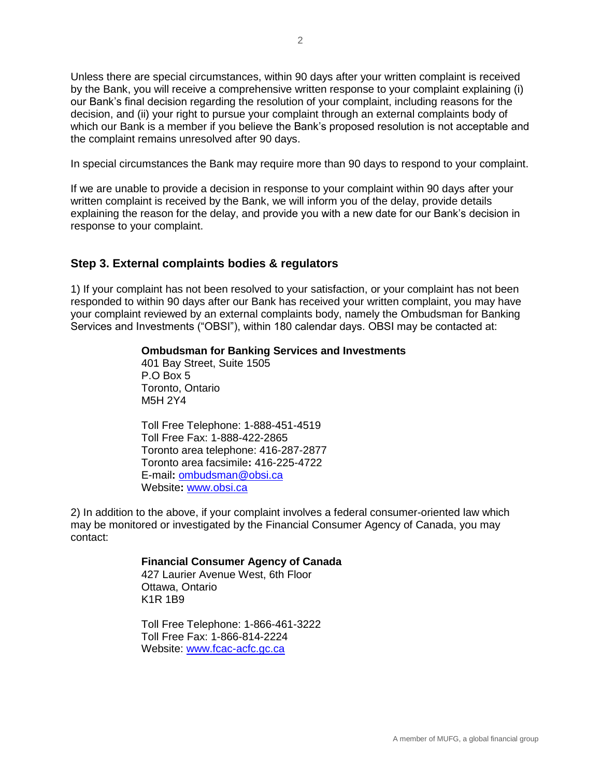Unless there are special circumstances, within 90 days after your written complaint is received by the Bank, you will receive a comprehensive written response to your complaint explaining (i) our Bank's final decision regarding the resolution of your complaint, including reasons for the decision, and (ii) your right to pursue your complaint through an external complaints body of which our Bank is a member if you believe the Bank's proposed resolution is not acceptable and the complaint remains unresolved after 90 days.

In special circumstances the Bank may require more than 90 days to respond to your complaint.

If we are unable to provide a decision in response to your complaint within 90 days after your written complaint is received by the Bank, we will inform you of the delay, provide details explaining the reason for the delay, and provide you with a new date for our Bank's decision in response to your complaint.

### **Step 3. External complaints bodies & regulators**

1) If your complaint has not been resolved to your satisfaction, or your complaint has not been responded to within 90 days after our Bank has received your written complaint, you may have your complaint reviewed by an external complaints body, namely the Ombudsman for Banking Services and Investments ("OBSI"), within 180 calendar days. OBSI may be contacted at:

#### **Ombudsman for Banking Services and Investments**

401 Bay Street, Suite 1505 P.O Box 5 Toronto, Ontario M5H 2Y4

Toll Free Telephone: 1-888-451-4519 Toll Free Fax: 1-888-422-2865 Toronto area telephone: 416-287-2877 Toronto area facsimile**:** 416-225-4722 E-mail**:** [ombudsman@obsi.ca](mailto:ombudsman@obsi.ca) Website**:** [www.obsi.ca](http://www.obsi.ca/)

2) In addition to the above, if your complaint involves a federal consumer-oriented law which may be monitored or investigated by the Financial Consumer Agency of Canada, you may contact:

#### **Financial Consumer Agency of Canada**

427 Laurier Avenue West, 6th Floor Ottawa, Ontario K1R 1B9

Toll Free Telephone: 1-866-461-3222 Toll Free Fax: 1-866-814-2224 Website: [www.fcac-acfc.gc.ca](http://www.fcac-acfc.gc.ca/)